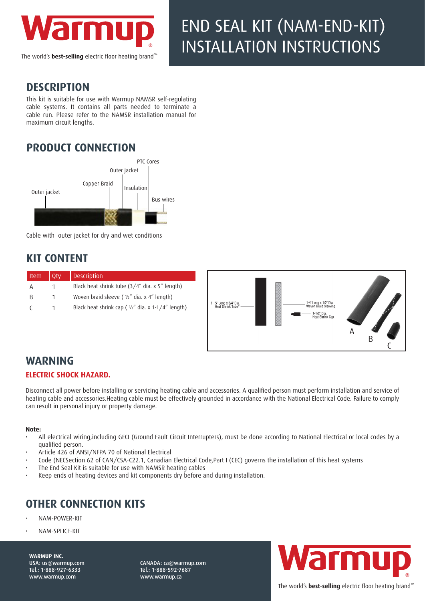

The world's **best-selling** electric floor heating brand'

# END SEAL KIT (NAM-END-KIT) INSTALLATION INSTRUCTIONS

#### **DESCRIPTION**

This kit is suitable for use with Warmup NAMSR self-regulating cable systems. It contains all parts needed to terminate a cable run. Please refer to the NAMSR installation manual for maximum circuit lengths.

## **PRODUCT CONNECTION**



Cable with outer jacket for dry and wet conditions

### **KIT CONTENT**

| l Item | Otv | <b>Description</b>                                            |                                              |                                                                                   |  |
|--------|-----|---------------------------------------------------------------|----------------------------------------------|-----------------------------------------------------------------------------------|--|
| Α      |     | Black heat shrink tube (3/4" dia. x 5" length)                | 1 - 5' Long x 3/4" Dia.<br>Heat Shrink Tube* |                                                                                   |  |
|        |     | Woven braid sleeve ( $\frac{1}{2}$ " dia. x 4" length)        |                                              |                                                                                   |  |
|        |     | Black heat shrink cap ( $\frac{1}{2}$ " dia. x 1-1/4" length) |                                              | 1-4" Long x 1/2" Dia.<br>Woven Braid Sleeving<br>· 1-1/2" Dia.<br>Heat Shrink Cap |  |

### **WARNING**

#### **ELECTRIC SHOCK HAZARD.**

Disconnect all power before installing or servicing heating cable and accessories. A qualified person must perform installation and service of heating cable and accessories.Heating cable must be effectively grounded in accordance with the National Electrical Code. Failure to comply can result in personal injury or property damage.

#### **Note:**

- All electrical wiring,including GFCI (Ground Fault Circuit Interrupters), must be done according to National Electrical or local codes by a qualified person.
- Article 426 of ANSI/NFPA 70 of National Electrical
- Code (NECSection 62 of CAN/CSA-C22.1, Canadian Electrical Code,Part I (CEC) governs the installation of this heat systems
- The End Seal Kit is suitable for use with NAMSR heating cables
- Keep ends of heating devices and kit components dry before and during installation.

## **OTHER CONNECTION KITS**

- NAM-POWER-KIT
- NAM-SPLICE-KIT

**WARMUP INC.**  USA: us@warmup.com Tel.: 1-888-927-6333 www.warmup.com

CANADA: ca@warmup.com Tel.: 1-888-592-7687 www.warmup.ca



B

 $\mathsf{C}$ 

The world's **best-selling** electric floor heating brand<sup>®</sup>